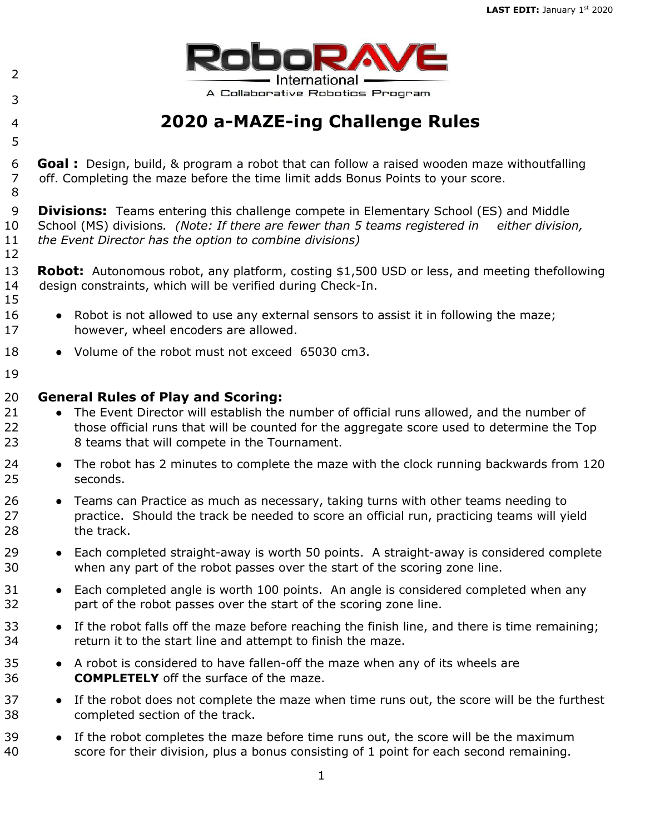

## **2020 a-MAZE-ing Challenge Rules**

 **Goal :** Design, build, & program a robot that can follow a raised wooden maze withoutfalling off. Completing the maze before the time limit adds Bonus Points to your score. 

 **Divisions:** Teams entering this challenge compete in Elementary School (ES) and Middle School (MS) divisions*. (Note: If there are fewer than 5 teams registered in either division, the Event Director has the option to combine divisions)*  

- **Robot:** Autonomous robot, any platform, costing \$1,500 USD or less, and meeting thefollowing design constraints, which will be verified during Check-In.
- 16 Robot is not allowed to use any external sensors to assist it in following the maze; however, wheel encoders are allowed.
- 18 Volume of the robot must not exceed 65030 cm3.
- **General Rules of Play and Scoring:**

- 21 The Event Director will establish the number of official runs allowed, and the number of those official runs that will be counted for the aggregate score used to determine the Top 8 teams that will compete in the Tournament.
- 24 The robot has 2 minutes to complete the maze with the clock running backwards from 120 seconds.
- 26 Teams can Practice as much as necessary, taking turns with other teams needing to practice. Should the track be needed to score an official run, practicing teams will yield the track.
- Each completed straight-away is worth 50 points. A straight-away is considered complete when any part of the robot passes over the start of the scoring zone line.
- 31 Each completed angle is worth 100 points. An angle is considered completed when any part of the robot passes over the start of the scoring zone line.
- 33 If the robot falls off the maze before reaching the finish line, and there is time remaining; return it to the start line and attempt to finish the maze.
- A robot is considered to have fallen-off the maze when any of its wheels are **COMPLETELY** off the surface of the maze.
- 37 If the robot does not complete the maze when time runs out, the score will be the furthest completed section of the track.
- 39 If the robot completes the maze before time runs out, the score will be the maximum score for their division, plus a bonus consisting of 1 point for each second remaining.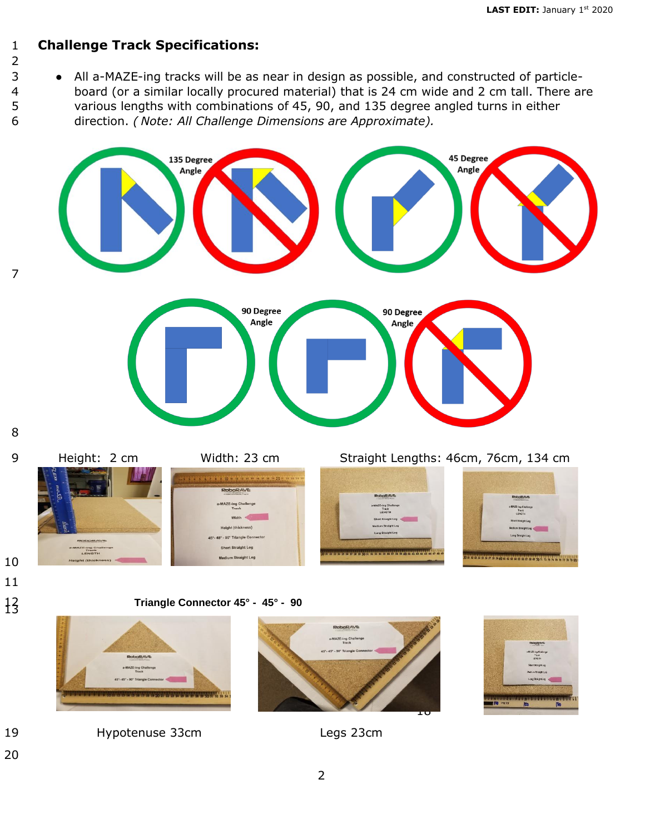## **Challenge Track Specifications:**

## 

 ● All a-MAZE-ing tracks will be as near in design as possible, and constructed of particle- board (or a similar locally procured material) that is 24 cm wide and 2 cm tall. There are various lengths with combinations of 45, 90, and 135 degree angled turns in either direction. *( Note: All Challenge Dimensions are Approximate).* 



 









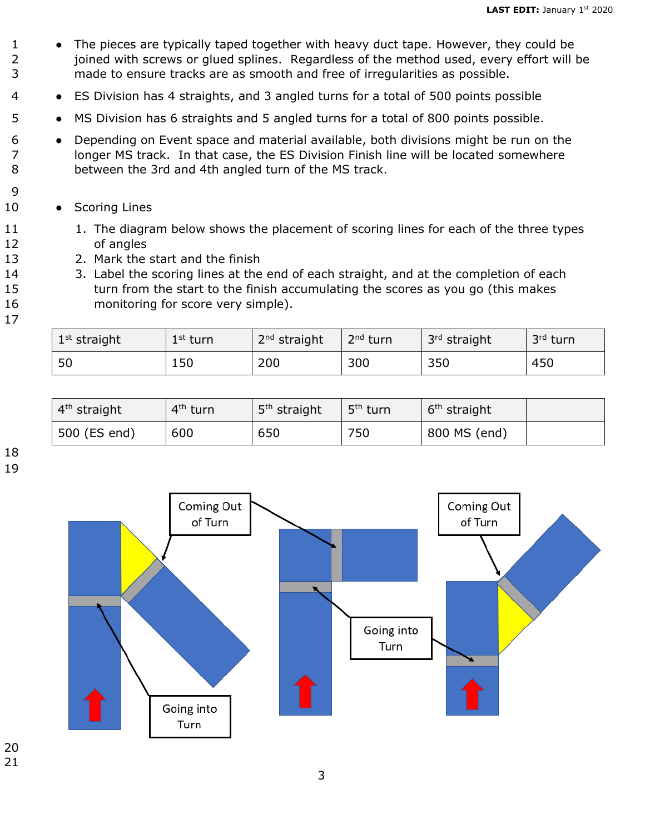- 1 The pieces are typically taped together with heavy duct tape. However, they could be 2 ioined with screws or glued splines. Regardless of the method used, every effort will be 3 made to ensure tracks are as smooth and free of irregularities as possible.
- 4 ES Division has 4 straights, and 3 angled turns for a total of 500 points possible
- 5 MS Division has 6 straights and 5 angled turns for a total of 800 points possible.
- 6 Depending on Event space and material available, both divisions might be run on the 7 longer MS track. In that case, the ES Division Finish line will be located somewhere 8 between the 3rd and 4th angled turn of the MS track.
- 10 Scoring Lines
- 11 1. The diagram below shows the placement of scoring lines for each of the three types 12 of angles
- 13 2. Mark the start and the finish
- 14 3. Label the scoring lines at the end of each straight, and at the completion of each 15 turn from the start to the finish accumulating the scores as you go (this makes 16 monitoring for score very simple).
- 17

| $1st$ straight | $1st$ turn | $2nd$ straight | 2 <sup>nd</sup> turn | 3 <sup>rd</sup> straight | 3rd turn |
|----------------|------------|----------------|----------------------|--------------------------|----------|
| 50             | 150        | 200            | 300                  | 350                      | 450      |

| $4th$ straight | 4 <sup>th</sup> turn | 5 <sup>th</sup> straight | 5 <sup>th</sup> turn | 6 <sup>th</sup> straight |  |
|----------------|----------------------|--------------------------|----------------------|--------------------------|--|
| 500 (ES end)   | 600                  | 650                      | 750                  | 800 MS (end)             |  |